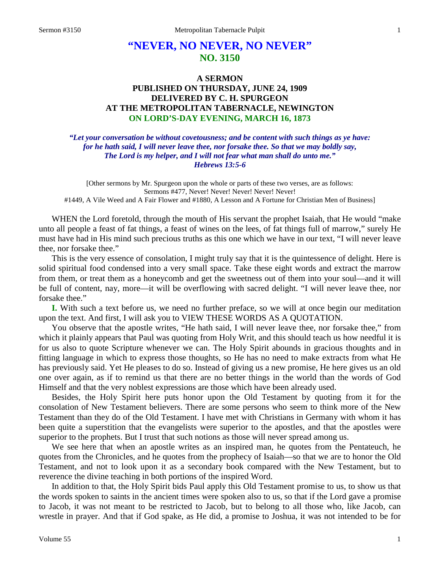## **"NEVER, NO NEVER, NO NEVER" NO. 3150**

## **A SERMON PUBLISHED ON THURSDAY, JUNE 24, 1909 DELIVERED BY C. H. SPURGEON AT THE METROPOLITAN TABERNACLE, NEWINGTON ON LORD'S-DAY EVENING, MARCH 16, 1873**

*"Let your conversation be without covetousness; and be content with such things as ye have: for he hath said, I will never leave thee, nor forsake thee. So that we may boldly say, The Lord is my helper, and I will not fear what man shall do unto me." Hebrews 13:5-6*

[Other sermons by Mr. Spurgeon upon the whole or parts of these two verses, are as follows: Sermons #477, Never! Never! Never! Never! Never! #1449, A Vile Weed and A Fair Flower and #1880, A Lesson and A Fortune for Christian Men of Business]

WHEN the Lord foretold, through the mouth of His servant the prophet Isaiah, that He would "make unto all people a feast of fat things, a feast of wines on the lees, of fat things full of marrow," surely He must have had in His mind such precious truths as this one which we have in our text, "I will never leave thee, nor forsake thee."

This is the very essence of consolation, I might truly say that it is the quintessence of delight. Here is solid spiritual food condensed into a very small space. Take these eight words and extract the marrow from them, or treat them as a honeycomb and get the sweetness out of them into your soul—and it will be full of content, nay, more—it will be overflowing with sacred delight. "I will never leave thee, nor forsake thee."

**I.** With such a text before us, we need no further preface, so we will at once begin our meditation upon the text. And first, I will ask you to VIEW THESE WORDS AS A QUOTATION.

You observe that the apostle writes, "He hath said, I will never leave thee, nor forsake thee," from which it plainly appears that Paul was quoting from Holy Writ, and this should teach us how needful it is for us also to quote Scripture whenever we can. The Holy Spirit abounds in gracious thoughts and in fitting language in which to express those thoughts, so He has no need to make extracts from what He has previously said. Yet He pleases to do so. Instead of giving us a new promise, He here gives us an old one over again, as if to remind us that there are no better things in the world than the words of God Himself and that the very noblest expressions are those which have been already used.

Besides, the Holy Spirit here puts honor upon the Old Testament by quoting from it for the consolation of New Testament believers. There are some persons who seem to think more of the New Testament than they do of the Old Testament. I have met with Christians in Germany with whom it has been quite a superstition that the evangelists were superior to the apostles, and that the apostles were superior to the prophets. But I trust that such notions as those will never spread among us.

We see here that when an apostle writes as an inspired man, he quotes from the Pentateuch, he quotes from the Chronicles, and he quotes from the prophecy of Isaiah—so that we are to honor the Old Testament, and not to look upon it as a secondary book compared with the New Testament, but to reverence the divine teaching in both portions of the inspired Word.

In addition to that, the Holy Spirit bids Paul apply this Old Testament promise to us, to show us that the words spoken to saints in the ancient times were spoken also to us, so that if the Lord gave a promise to Jacob, it was not meant to be restricted to Jacob, but to belong to all those who, like Jacob, can wrestle in prayer. And that if God spake, as He did, a promise to Joshua, it was not intended to be for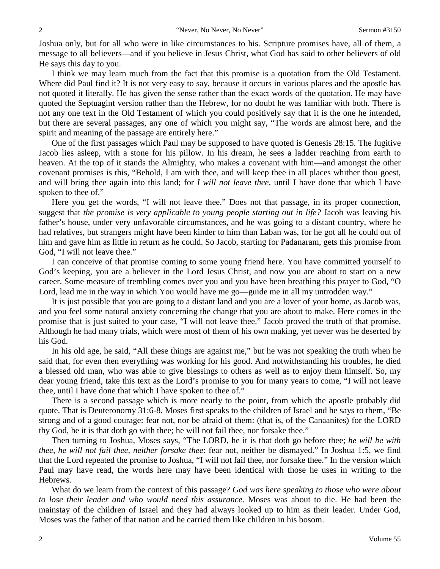Joshua only, but for all who were in like circumstances to his. Scripture promises have, all of them, a message to all believers—and if you believe in Jesus Christ, what God has said to other believers of old He says this day to you.

I think we may learn much from the fact that this promise is a quotation from the Old Testament. Where did Paul find it? It is not very easy to say, because it occurs in various places and the apostle has not quoted it literally. He has given the sense rather than the exact words of the quotation. He may have quoted the Septuagint version rather than the Hebrew, for no doubt he was familiar with both. There is not any one text in the Old Testament of which you could positively say that it is the one he intended, but there are several passages, any one of which you might say, "The words are almost here, and the spirit and meaning of the passage are entirely here."

One of the first passages which Paul may be supposed to have quoted is Genesis 28:15. The fugitive Jacob lies asleep, with a stone for his pillow. In his dream, he sees a ladder reaching from earth to heaven. At the top of it stands the Almighty, who makes a covenant with him—and amongst the other covenant promises is this, "Behold, I am with thee, and will keep thee in all places whither thou goest, and will bring thee again into this land; for *I will not leave thee*, until I have done that which I have spoken to thee of."

Here you get the words, "I will not leave thee." Does not that passage, in its proper connection, suggest that *the promise is very applicable to young people starting out in life?* Jacob was leaving his father's house, under very unfavorable circumstances, and he was going to a distant country, where he had relatives, but strangers might have been kinder to him than Laban was, for he got all he could out of him and gave him as little in return as he could. So Jacob, starting for Padanaram, gets this promise from God, "I will not leave thee."

I can conceive of that promise coming to some young friend here. You have committed yourself to God's keeping, you are a believer in the Lord Jesus Christ, and now you are about to start on a new career. Some measure of trembling comes over you and you have been breathing this prayer to God, "O Lord, lead me in the way in which You would have me go—guide me in all my untrodden way."

It is just possible that you are going to a distant land and you are a lover of your home, as Jacob was, and you feel some natural anxiety concerning the change that you are about to make. Here comes in the promise that is just suited to your case, "I will not leave thee." Jacob proved the truth of that promise. Although he had many trials, which were most of them of his own making, yet never was he deserted by his God.

In his old age, he said, "All these things are against me," but he was not speaking the truth when he said that, for even then everything was working for his good. And notwithstanding his troubles, he died a blessed old man, who was able to give blessings to others as well as to enjoy them himself. So, my dear young friend, take this text as the Lord's promise to you for many years to come, "I will not leave thee, until I have done that which I have spoken to thee of."

There is a second passage which is more nearly to the point, from which the apostle probably did quote. That is Deuteronomy 31:6-8. Moses first speaks to the children of Israel and he says to them, "Be strong and of a good courage: fear not, nor be afraid of them: (that is, of the Canaanites) for the LORD thy God, he it is that doth go with thee; he will not fail thee, nor forsake thee."

Then turning to Joshua, Moses says, "The LORD, he it is that doth go before thee; *he will be with thee, he will not fail thee, neither forsake thee*: fear not, neither be dismayed." In Joshua 1:5, we find that the Lord repeated the promise to Joshua, "I will not fail thee, nor forsake thee." In the version which Paul may have read, the words here may have been identical with those he uses in writing to the Hebrews.

What do we learn from the context of this passage? *God was here speaking to those who were about to lose their leader and who would need this assurance*. Moses was about to die. He had been the mainstay of the children of Israel and they had always looked up to him as their leader. Under God, Moses was the father of that nation and he carried them like children in his bosom.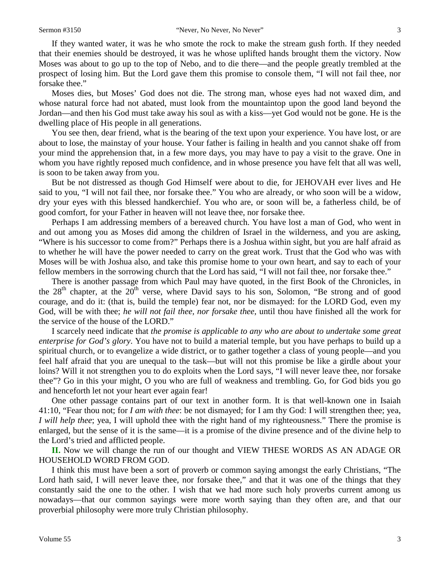If they wanted water, it was he who smote the rock to make the stream gush forth. If they needed that their enemies should be destroyed, it was he whose uplifted hands brought them the victory. Now Moses was about to go up to the top of Nebo, and to die there—and the people greatly trembled at the prospect of losing him. But the Lord gave them this promise to console them, "I will not fail thee, nor forsake thee."

Moses dies, but Moses' God does not die. The strong man, whose eyes had not waxed dim, and whose natural force had not abated, must look from the mountaintop upon the good land beyond the Jordan—and then his God must take away his soul as with a kiss—yet God would not be gone. He is the dwelling place of His people in all generations.

You see then, dear friend, what is the bearing of the text upon your experience. You have lost, or are about to lose, the mainstay of your house. Your father is failing in health and you cannot shake off from your mind the apprehension that, in a few more days, you may have to pay a visit to the grave. One in whom you have rightly reposed much confidence, and in whose presence you have felt that all was well, is soon to be taken away from you.

But be not distressed as though God Himself were about to die, for JEHOVAH ever lives and He said to you, "I will not fail thee, nor forsake thee." You who are already, or who soon will be a widow, dry your eyes with this blessed handkerchief. You who are, or soon will be, a fatherless child, be of good comfort, for your Father in heaven will not leave thee, nor forsake thee.

Perhaps I am addressing members of a bereaved church. You have lost a man of God, who went in and out among you as Moses did among the children of Israel in the wilderness, and you are asking, "Where is his successor to come from?" Perhaps there is a Joshua within sight, but you are half afraid as to whether he will have the power needed to carry on the great work. Trust that the God who was with Moses will be with Joshua also, and take this promise home to your own heart, and say to each of your fellow members in the sorrowing church that the Lord has said, "I will not fail thee, nor forsake thee."

There is another passage from which Paul may have quoted, in the first Book of the Chronicles, in the  $28<sup>th</sup>$  chapter, at the  $20<sup>th</sup>$  verse, where David says to his son, Solomon, "Be strong and of good courage, and do it: (that is, build the temple) fear not, nor be dismayed: for the LORD God, even my God, will be with thee; *he will not fail thee, nor forsake thee*, until thou have finished all the work for the service of the house of the LORD."

I scarcely need indicate that *the promise is applicable to any who are about to undertake some great enterprise for God's glory*. You have not to build a material temple, but you have perhaps to build up a spiritual church, or to evangelize a wide district, or to gather together a class of young people—and you feel half afraid that you are unequal to the task—but will not this promise be like a girdle about your loins? Will it not strengthen you to do exploits when the Lord says, "I will never leave thee, nor forsake thee"? Go in this your might, O you who are full of weakness and trembling. Go, for God bids you go and henceforth let not your heart ever again fear!

One other passage contains part of our text in another form. It is that well-known one in Isaiah 41:10, "Fear thou not; for *I am with thee*: be not dismayed; for I am thy God: I will strengthen thee; yea, *I will help thee*; yea, I will uphold thee with the right hand of my righteousness." There the promise is enlarged, but the sense of it is the same—it is a promise of the divine presence and of the divine help to the Lord's tried and afflicted people.

**II.** Now we will change the run of our thought and VIEW THESE WORDS AS AN ADAGE OR HOUSEHOLD WORD FROM GOD.

I think this must have been a sort of proverb or common saying amongst the early Christians, "The Lord hath said, I will never leave thee, nor forsake thee," and that it was one of the things that they constantly said the one to the other. I wish that we had more such holy proverbs current among us nowadays—that our common sayings were more worth saying than they often are, and that our proverbial philosophy were more truly Christian philosophy.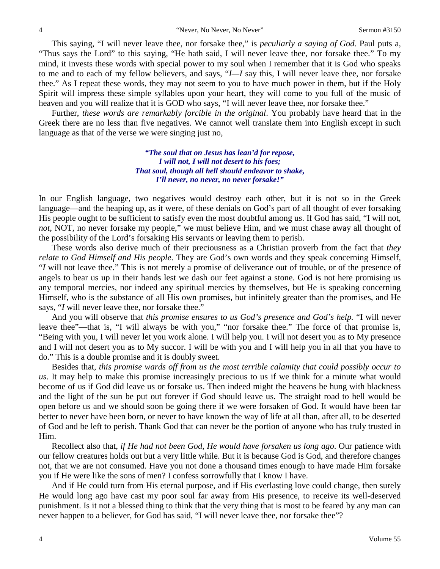This saying, "I will never leave thee, nor forsake thee," is *peculiarly a saying of God*. Paul puts a, "Thus says the Lord" to this saying, "He hath said, I will never leave thee, nor forsake thee." To my mind, it invests these words with special power to my soul when I remember that it is God who speaks to me and to each of my fellow believers, and says, "*I—I* say this, I will never leave thee, nor forsake thee." As I repeat these words, they may not seem to you to have much power in them, but if the Holy Spirit will impress these simple syllables upon your heart, they will come to you full of the music of heaven and you will realize that it is GOD who says, "I will never leave thee, nor forsake thee."

Further, *these words are remarkably forcible in the original*. You probably have heard that in the Greek there are no less than five negatives. We cannot well translate them into English except in such language as that of the verse we were singing just no,

> *"The soul that on Jesus has lean'd for repose, I will not, I will not desert to his foes; That soul, though all hell should endeavor to shake, I'll never, no never, no never forsake!"*

In our English language, two negatives would destroy each other, but it is not so in the Greek language—and the heaping up, as it were, of these denials on God's part of all thought of ever forsaking His people ought to be sufficient to satisfy even the most doubtful among us. If God has said, "I will not, *not*, NOT, no never forsake my people," we must believe Him, and we must chase away all thought of the possibility of the Lord's forsaking His servants or leaving them to perish.

These words also derive much of their preciousness as a Christian proverb from the fact that *they relate to God Himself and His people*. They are God's own words and they speak concerning Himself, "*I* will not leave thee." This is not merely a promise of deliverance out of trouble, or of the presence of angels to bear us up in their hands lest we dash our feet against a stone. God is not here promising us any temporal mercies, nor indeed any spiritual mercies by themselves, but He is speaking concerning Himself, who is the substance of all His own promises, but infinitely greater than the promises, and He says, "*I* will never leave thee, nor forsake thee."

And you will observe that *this promise ensures to us God's presence and God's help.* "I will never leave thee"—that is, "I will always be with you," "nor forsake thee." The force of that promise is, "Being with you, I will never let you work alone. I will help you. I will not desert you as to My presence and I will not desert you as to My succor. I will be with you and I will help you in all that you have to do." This is a double promise and it is doubly sweet.

Besides that, *this promise wards off from us the most terrible calamity that could possibly occur to us*. It may help to make this promise increasingly precious to us if we think for a minute what would become of us if God did leave us or forsake us. Then indeed might the heavens be hung with blackness and the light of the sun be put out forever if God should leave us. The straight road to hell would be open before us and we should soon be going there if we were forsaken of God. It would have been far better to never have been born, or never to have known the way of life at all than, after all, to be deserted of God and be left to perish. Thank God that can never be the portion of anyone who has truly trusted in Him.

Recollect also that, *if He had not been God, He would have forsaken us long ago*. Our patience with our fellow creatures holds out but a very little while. But it is because God is God, and therefore changes not, that we are not consumed. Have you not done a thousand times enough to have made Him forsake you if He were like the sons of men? I confess sorrowfully that I know I have.

And if He could turn from His eternal purpose, and if His everlasting love could change, then surely He would long ago have cast my poor soul far away from His presence, to receive its well-deserved punishment. Is it not a blessed thing to think that the very thing that is most to be feared by any man can never happen to a believer, for God has said, "I will never leave thee, nor forsake thee"?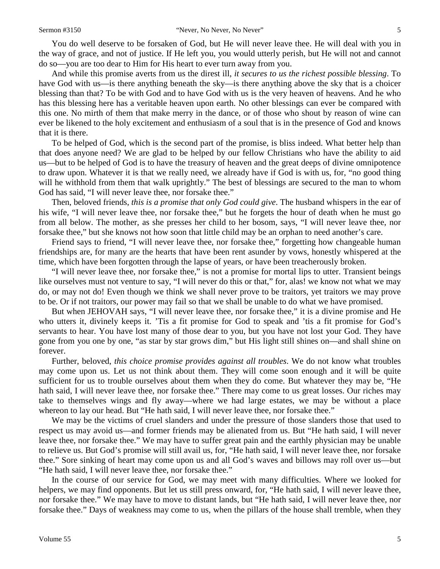You do well deserve to be forsaken of God, but He will never leave thee. He will deal with you in the way of grace, and not of justice. If He left you, you would utterly perish, but He will not and cannot do so—you are too dear to Him for His heart to ever turn away from you.

And while this promise averts from us the direst ill, *it secures to us the richest possible blessing*. To have God with us—is there anything beneath the sky—is there anything above the sky that is a choicer blessing than that? To be with God and to have God with us is the very heaven of heavens. And he who has this blessing here has a veritable heaven upon earth. No other blessings can ever be compared with this one. No mirth of them that make merry in the dance, or of those who shout by reason of wine can ever be likened to the holy excitement and enthusiasm of a soul that is in the presence of God and knows that it is there.

To be helped of God, which is the second part of the promise, is bliss indeed. What better help than that does anyone need? We are glad to be helped by our fellow Christians who have the ability to aid us—but to be helped of God is to have the treasury of heaven and the great deeps of divine omnipotence to draw upon. Whatever it is that we really need, we already have if God is with us, for, "no good thing will he withhold from them that walk uprightly." The best of blessings are secured to the man to whom God has said, "I will never leave thee, nor forsake thee."

Then, beloved friends, *this is a promise that only God could give*. The husband whispers in the ear of his wife, "I will never leave thee, nor forsake thee," but he forgets the hour of death when he must go from all below. The mother, as she presses her child to her bosom, says, "I will never leave thee, nor forsake thee," but she knows not how soon that little child may be an orphan to need another's care.

Friend says to friend, "I will never leave thee, nor forsake thee," forgetting how changeable human friendships are, for many are the hearts that have been rent asunder by vows, honestly whispered at the time, which have been forgotten through the lapse of years, or have been treacherously broken.

"I will never leave thee, nor forsake thee," is not a promise for mortal lips to utter. Transient beings like ourselves must not venture to say, "I will never do this or that," for, alas! we know not what we may do, or may not do! Even though we think we shall never prove to be traitors, yet traitors we may prove to be. Or if not traitors, our power may fail so that we shall be unable to do what we have promised.

But when JEHOVAH says, "I will never leave thee, nor forsake thee," it is a divine promise and He who utters it, divinely keeps it. 'Tis a fit promise for God to speak and 'tis a fit promise for God's servants to hear. You have lost many of those dear to you, but you have not lost your God. They have gone from you one by one, "as star by star grows dim," but His light still shines on—and shall shine on forever.

Further, beloved, *this choice promise provides against all troubles*. We do not know what troubles may come upon us. Let us not think about them. They will come soon enough and it will be quite sufficient for us to trouble ourselves about them when they do come. But whatever they may be, "He hath said, I will never leave thee, nor forsake thee." There may come to us great losses. Our riches may take to themselves wings and fly away—where we had large estates, we may be without a place whereon to lay our head. But "He hath said, I will never leave thee, nor forsake thee."

We may be the victims of cruel slanders and under the pressure of those slanders those that used to respect us may avoid us—and former friends may be alienated from us. But "He hath said, I will never leave thee, nor forsake thee." We may have to suffer great pain and the earthly physician may be unable to relieve us. But God's promise will still avail us, for, "He hath said, I will never leave thee, nor forsake thee." Sore sinking of heart may come upon us and all God's waves and billows may roll over us—but "He hath said, I will never leave thee, nor forsake thee."

In the course of our service for God, we may meet with many difficulties. Where we looked for helpers, we may find opponents. But let us still press onward, for, "He hath said, I will never leave thee, nor forsake thee." We may have to move to distant lands, but "He hath said, I will never leave thee, nor forsake thee." Days of weakness may come to us, when the pillars of the house shall tremble, when they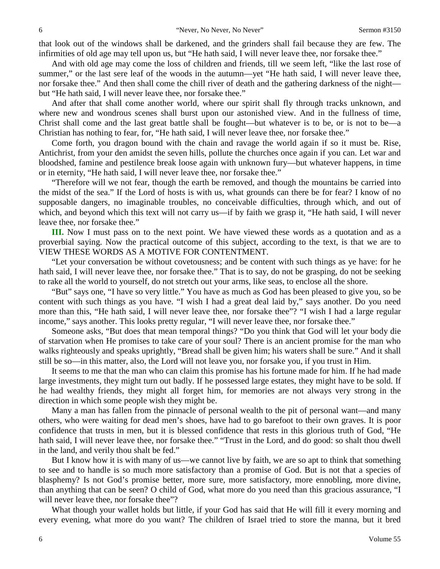that look out of the windows shall be darkened, and the grinders shall fail because they are few. The infirmities of old age may tell upon us, but "He hath said, I will never leave thee, nor forsake thee."

And with old age may come the loss of children and friends, till we seem left, "like the last rose of summer," or the last sere leaf of the woods in the autumn—yet "He hath said, I will never leave thee, nor forsake thee." And then shall come the chill river of death and the gathering darkness of the night but "He hath said, I will never leave thee, nor forsake thee."

And after that shall come another world, where our spirit shall fly through tracks unknown, and where new and wondrous scenes shall burst upon our astonished view. And in the fullness of time, Christ shall come and the last great battle shall be fought—but whatever is to be, or is not to be—a Christian has nothing to fear, for, "He hath said, I will never leave thee, nor forsake thee."

Come forth, you dragon bound with the chain and ravage the world again if so it must be. Rise, Antichrist, from your den amidst the seven hills, pollute the churches once again if you can. Let war and bloodshed, famine and pestilence break loose again with unknown fury—but whatever happens, in time or in eternity, "He hath said, I will never leave thee, nor forsake thee."

"Therefore will we not fear, though the earth be removed, and though the mountains be carried into the midst of the sea." If the Lord of hosts is with us, what grounds can there be for fear? I know of no supposable dangers, no imaginable troubles, no conceivable difficulties, through which, and out of which, and beyond which this text will not carry us—if by faith we grasp it, "He hath said, I will never leave thee, nor forsake thee."

**III.** Now I must pass on to the next point. We have viewed these words as a quotation and as a proverbial saying. Now the practical outcome of this subject, according to the text, is that we are to VIEW THESE WORDS AS A MOTIVE FOR CONTENTMENT.

"Let your conversation be without covetousness; and be content with such things as ye have: for he hath said, I will never leave thee, nor forsake thee." That is to say, do not be grasping, do not be seeking to rake all the world to yourself, do not stretch out your arms, like seas, to enclose all the shore.

"But" says one, "I have so very little." You have as much as God has been pleased to give you, so be content with such things as you have. "I wish I had a great deal laid by," says another. Do you need more than this, "He hath said, I will never leave thee, nor forsake thee"? "I wish I had a large regular income," says another. This looks pretty regular, "I will never leave thee, nor forsake thee."

Someone asks, "But does that mean temporal things? "Do you think that God will let your body die of starvation when He promises to take care of your soul? There is an ancient promise for the man who walks righteously and speaks uprightly, "Bread shall be given him; his waters shall be sure." And it shall still be so—in this matter, also, the Lord will not leave you, nor forsake you, if you trust in Him.

It seems to me that the man who can claim this promise has his fortune made for him. If he had made large investments, they might turn out badly. If he possessed large estates, they might have to be sold. If he had wealthy friends, they might all forget him, for memories are not always very strong in the direction in which some people wish they might be.

Many a man has fallen from the pinnacle of personal wealth to the pit of personal want—and many others, who were waiting for dead men's shoes, have had to go barefoot to their own graves. It is poor confidence that trusts in men, but it is blessed confidence that rests in this glorious truth of God, "He hath said, I will never leave thee, nor forsake thee." "Trust in the Lord, and do good: so shalt thou dwell in the land, and verily thou shalt be fed."

But I know how it is with many of us—we cannot live by faith, we are so apt to think that something to see and to handle is so much more satisfactory than a promise of God. But is not that a species of blasphemy? Is not God's promise better, more sure, more satisfactory, more ennobling, more divine, than anything that can be seen? O child of God, what more do you need than this gracious assurance, "I will never leave thee, nor forsake thee"?

What though your wallet holds but little, if your God has said that He will fill it every morning and every evening, what more do you want? The children of Israel tried to store the manna, but it bred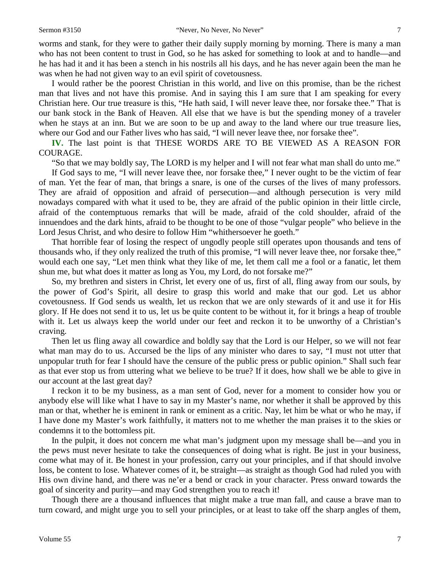worms and stank, for they were to gather their daily supply morning by morning. There is many a man who has not been content to trust in God, so he has asked for something to look at and to handle—and he has had it and it has been a stench in his nostrils all his days, and he has never again been the man he was when he had not given way to an evil spirit of covetousness.

I would rather be the poorest Christian in this world, and live on this promise, than be the richest man that lives and not have this promise. And in saying this I am sure that I am speaking for every Christian here. Our true treasure is this, "He hath said, I will never leave thee, nor forsake thee." That is our bank stock in the Bank of Heaven. All else that we have is but the spending money of a traveler when he stays at an inn. But we are soon to be up and away to the land where our true treasure lies, where our God and our Father lives who has said, "I will never leave thee, nor forsake thee".

**IV.** The last point is that THESE WORDS ARE TO BE VIEWED AS A REASON FOR COURAGE.

"So that we may boldly say, The LORD is my helper and I will not fear what man shall do unto me."

If God says to me, "I will never leave thee, nor forsake thee," I never ought to be the victim of fear of man. Yet the fear of man, that brings a snare, is one of the curses of the lives of many professors. They are afraid of opposition and afraid of persecution—and although persecution is very mild nowadays compared with what it used to be, they are afraid of the public opinion in their little circle, afraid of the contemptuous remarks that will be made, afraid of the cold shoulder, afraid of the innuendoes and the dark hints, afraid to be thought to be one of those "vulgar people" who believe in the Lord Jesus Christ, and who desire to follow Him "whithersoever he goeth."

That horrible fear of losing the respect of ungodly people still operates upon thousands and tens of thousands who, if they only realized the truth of this promise, "I will never leave thee, nor forsake thee," would each one say, "Let men think what they like of me, let them call me a fool or a fanatic, let them shun me, but what does it matter as long as You, my Lord, do not forsake me?"

So, my brethren and sisters in Christ, let every one of us, first of all, fling away from our souls, by the power of God's Spirit, all desire to grasp this world and make that our god. Let us abhor covetousness. If God sends us wealth, let us reckon that we are only stewards of it and use it for His glory. If He does not send it to us, let us be quite content to be without it, for it brings a heap of trouble with it. Let us always keep the world under our feet and reckon it to be unworthy of a Christian's craving.

Then let us fling away all cowardice and boldly say that the Lord is our Helper, so we will not fear what man may do to us. Accursed be the lips of any minister who dares to say, "I must not utter that unpopular truth for fear I should have the censure of the public press or public opinion." Shall such fear as that ever stop us from uttering what we believe to be true? If it does, how shall we be able to give in our account at the last great day?

I reckon it to be my business, as a man sent of God, never for a moment to consider how you or anybody else will like what I have to say in my Master's name, nor whether it shall be approved by this man or that, whether he is eminent in rank or eminent as a critic. Nay, let him be what or who he may, if I have done my Master's work faithfully, it matters not to me whether the man praises it to the skies or condemns it to the bottomless pit.

In the pulpit, it does not concern me what man's judgment upon my message shall be—and you in the pews must never hesitate to take the consequences of doing what is right. Be just in your business, come what may of it. Be honest in your profession, carry out your principles, and if that should involve loss, be content to lose. Whatever comes of it, be straight—as straight as though God had ruled you with His own divine hand, and there was ne'er a bend or crack in your character. Press onward towards the goal of sincerity and purity—and may God strengthen you to reach it!

Though there are a thousand influences that might make a true man fall, and cause a brave man to turn coward, and might urge you to sell your principles, or at least to take off the sharp angles of them,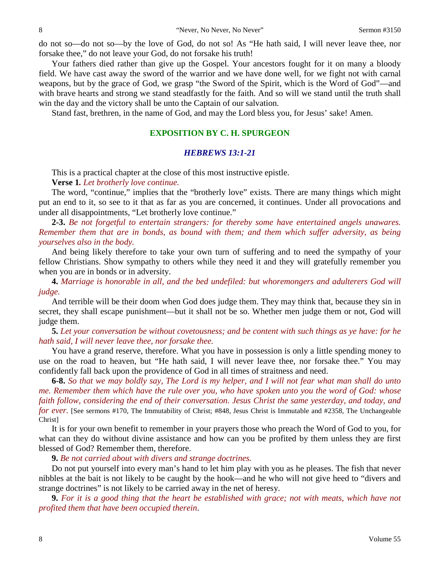do not so—do not so—by the love of God, do not so! As "He hath said, I will never leave thee, nor forsake thee," do not leave your God, do not forsake his truth!

Your fathers died rather than give up the Gospel. Your ancestors fought for it on many a bloody field. We have cast away the sword of the warrior and we have done well, for we fight not with carnal weapons, but by the grace of God, we grasp "the Sword of the Spirit, which is the Word of God"—and with brave hearts and strong we stand steadfastly for the faith. And so will we stand until the truth shall win the day and the victory shall be unto the Captain of our salvation.

Stand fast, brethren, in the name of God, and may the Lord bless you, for Jesus' sake! Amen.

## **EXPOSITION BY C. H. SPURGEON**

## *HEBREWS 13:1-21*

This is a practical chapter at the close of this most instructive epistle.

**Verse 1***. Let brotherly love continue.* 

The word, "continue," implies that the "brotherly love" exists. There are many things which might put an end to it, so see to it that as far as you are concerned, it continues. Under all provocations and under all disappointments, "Let brotherly love continue."

**2-3.** *Be not forgetful to entertain strangers: for thereby some have entertained angels unawares. Remember them that are in bonds, as bound with them; and them which suffer adversity, as being yourselves also in the body.*

And being likely therefore to take your own turn of suffering and to need the sympathy of your fellow Christians. Show sympathy to others while they need it and they will gratefully remember you when you are in bonds or in adversity.

**4.** *Marriage is honorable in all, and the bed undefiled: but whoremongers and adulterers God will judge.*

And terrible will be their doom when God does judge them. They may think that, because they sin in secret, they shall escape punishment—but it shall not be so. Whether men judge them or not, God will judge them.

**5.** *Let your conversation be without covetousness; and be content with such things as ye have: for he hath said, I will never leave thee, nor forsake thee.*

You have a grand reserve, therefore. What you have in possession is only a little spending money to use on the road to heaven, but "He hath said, I will never leave thee, nor forsake thee." You may confidently fall back upon the providence of God in all times of straitness and need.

**6-8.** *So that we may boldly say, The Lord is my helper, and I will not fear what man shall do unto me. Remember them which have the rule over you, who have spoken unto you the word of God: whose faith follow, considering the end of their conversation. Jesus Christ the same yesterday, and today, and for ever.* [See sermons #170, The Immutability of Christ; #848, Jesus Christ is Immutable and #2358, The Unchangeable Christ]

It is for your own benefit to remember in your prayers those who preach the Word of God to you, for what can they do without divine assistance and how can you be profited by them unless they are first blessed of God? Remember them, therefore.

**9.** *Be not carried about with divers and strange doctrines.*

Do not put yourself into every man's hand to let him play with you as he pleases. The fish that never nibbles at the bait is not likely to be caught by the hook—and he who will not give heed to "divers and strange doctrines" is not likely to be carried away in the net of heresy.

**9.** *For it is a good thing that the heart be established with grace; not with meats, which have not profited them that have been occupied therein*.